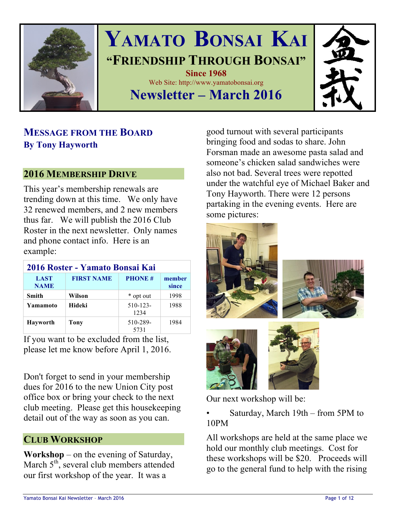

# **YAMATO BONSAI KAI "FRIENDSHIP THROUGH BONSAI" Since 1968** Web Site: http://www.yamatobonsai.org **Newsletter – March 2016**

## **MESSAGE FROM THE BOARD By Tony Hayworth**

### **2016 MEMBERSHIP DRIVE**

This year's membership renewals are trending down at this time. We only have 32 renewed members, and 2 new members thus far. We will publish the 2016 Club Roster in the next newsletter. Only names and phone contact info. Here is an example:

| 2016 Roster - Yamato Bonsai Kai |                   |                       |                 |
|---------------------------------|-------------------|-----------------------|-----------------|
| <b>LAST</b><br><b>NAME</b>      | <b>FIRST NAME</b> | <b>PHONE#</b>         | member<br>since |
| <b>Smith</b>                    | Wilson            | * opt out             | 1998            |
| Yamamoto                        | <b>Hideki</b>     | $510 - 123 -$<br>1234 | 1988            |
| Hayworth                        | <b>Tony</b>       | 510-289-<br>5731      | 1984            |

If you want to be excluded from the list, please let me know before April 1, 2016.

Don't forget to send in your membership dues for 2016 to the new Union City post office box or bring your check to the next club meeting. Please get this housekeeping detail out of the way as soon as you can.

### **CLUB WORKSHOP**

**Workshop** – on the evening of Saturday, March  $5<sup>th</sup>$ , several club members attended our first workshop of the year. It was a

good turnout with several participants bringing food and sodas to share. John Forsman made an awesome pasta salad and someone's chicken salad sandwiches were also not bad. Several trees were repotted under the watchful eye of Michael Baker and Tony Hayworth. There were 12 persons partaking in the evening events. Here are some pictures:



Our next workshop will be:

• Saturday, March 19th – from 5PM to 10PM

All workshops are held at the same place we hold our monthly club meetings. Cost for these workshops will be \$20. Proceeds will go to the general fund to help with the rising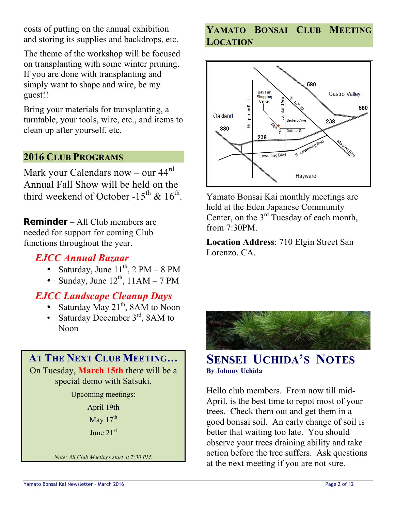costs of putting on the annual exhibition and storing its supplies and backdrops, etc.

The theme of the workshop will be focused on transplanting with some winter pruning. If you are done with transplanting and simply want to shape and wire, be my guest!!

Bring your materials for transplanting, a turntable, your tools, wire, etc., and items to clean up after yourself, etc.

### **2016 CLUB PROGRAMS**

Mark your Calendars now – our  $44<sup>rd</sup>$ Annual Fall Show will be held on the third weekend of October -15<sup>th</sup> & 16<sup>th</sup>.

**Reminder** – All Club members are needed for support for coming Club functions throughout the year.

### *EJCC Annual Bazaar*

- Saturday, June  $11^{th}$ , 2 PM 8 PM
- Sunday, June  $12^{th}$ ,  $11AM 7PM$

### *EJCC Landscape Cleanup Days*

- Saturday May  $21<sup>th</sup>$ , 8AM to Noon
- Saturday December 3<sup>rd</sup>, 8AM to Noon

## **AT THE NEXT CLUB MEETING…**

On Tuesday, **March 15th** there will be a special demo with Satsuki.

Upcoming meetings:

April 19th May  $17<sup>th</sup>$ June 21st

*Note: All Club Meetings start at 7:30 PM.*

### **YAMATO BONSAI CLUB MEETING LOCATION**



Yamato Bonsai Kai monthly meetings are held at the Eden Japanese Community Center, on the  $3<sup>rd</sup>$  Tuesday of each month, from  $7.30$ PM

**Location Address**: 710 Elgin Street San Lorenzo. CA.



### **SENSEI UCHIDA'S NOTES By Johnny Uchida**

Hello club members. From now till mid-April, is the best time to repot most of your trees. Check them out and get them in a good bonsai soil. An early change of soil is better that waiting too late. You should observe your trees draining ability and take action before the tree suffers. Ask questions at the next meeting if you are not sure.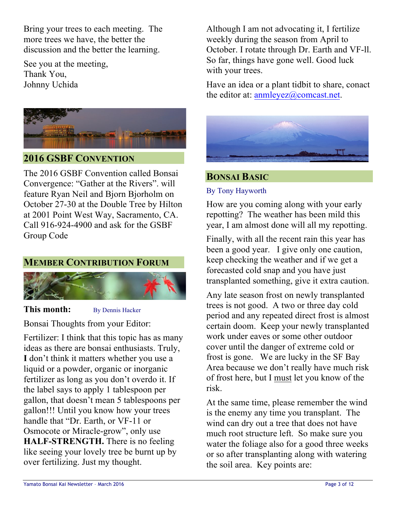Bring your trees to each meeting. The more trees we have, the better the discussion and the better the learning.

See you at the meeting, Thank You, Johnny Uchida



### **2016 GSBF CONVENTION**

The 2016 GSBF Convention called Bonsai Convergence: "Gather at the Rivers". will feature Ryan Neil and Bjorn Bjorholm on October 27-30 at the Double Tree by Hilton at 2001 Point West Way, Sacramento, CA. Call 916-924-4900 and ask for the GSBF Group Code



### **This month:** By Dennis Hacker

Bonsai Thoughts from your Editor:

Fertilizer: I think that this topic has as many ideas as there are bonsai enthusiasts. Truly, **I** don't think it matters whether you use a liquid or a powder, organic or inorganic fertilizer as long as you don't overdo it. If the label says to apply 1 tablespoon per gallon, that doesn't mean 5 tablespoons per gallon!!! Until you know how your trees handle that "Dr. Earth, or VF-11 or Osmocote or Miracle-grow", only use **HALF-STRENGTH.** There is no feeling like seeing your lovely tree be burnt up by over fertilizing. Just my thought.

Although I am not advocating it, I fertilize weekly during the season from April to October. I rotate through Dr. Earth and VF-ll. So far, things have gone well. Good luck with your trees.

Have an idea or a plant tidbit to share, conact the editor at:  $ammleyez@comcast.net$ .



### **BONSAI BASIC**

### By Tony Hayworth

How are you coming along with your early repotting? The weather has been mild this year, I am almost done will all my repotting.

Finally, with all the recent rain this year has been a good year. I give only one caution, keep checking the weather and if we get a forecasted cold snap and you have just transplanted something, give it extra caution.

Any late season frost on newly transplanted trees is not good. A two or three day cold period and any repeated direct frost is almost certain doom. Keep your newly transplanted work under eaves or some other outdoor cover until the danger of extreme cold or frost is gone. We are lucky in the SF Bay Area because we don't really have much risk of frost here, but I must let you know of the risk.

At the same time, please remember the wind is the enemy any time you transplant. The wind can dry out a tree that does not have much root structure left. So make sure you water the foliage also for a good three weeks or so after transplanting along with watering the soil area. Key points are: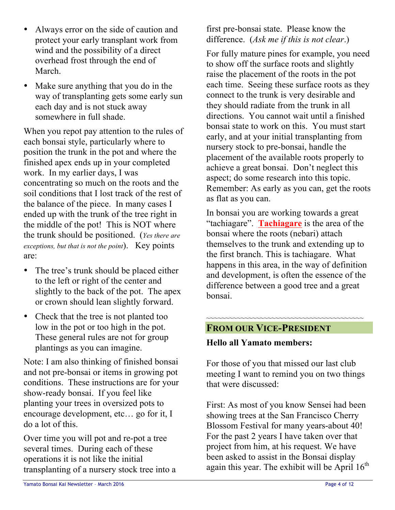- Always error on the side of caution and protect your early transplant work from wind and the possibility of a direct overhead frost through the end of March.
- Make sure anything that you do in the way of transplanting gets some early sun each day and is not stuck away somewhere in full shade.

When you repot pay attention to the rules of each bonsai style, particularly where to position the trunk in the pot and where the finished apex ends up in your completed work. In my earlier days, I was concentrating so much on the roots and the soil conditions that I lost track of the rest of the balance of the piece. In many cases I ended up with the trunk of the tree right in the middle of the pot! This is NOT where the trunk should be positioned. (*Yes there are exceptions, but that is not the point*). Key points are:

- The tree's trunk should be placed either to the left or right of the center and slightly to the back of the pot. The apex or crown should lean slightly forward.
- Check that the tree is not planted too low in the pot or too high in the pot. These general rules are not for group plantings as you can imagine.

Note: I am also thinking of finished bonsai and not pre-bonsai or items in growing pot conditions. These instructions are for your show-ready bonsai. If you feel like planting your trees in oversized pots to encourage development, etc… go for it, I do a lot of this.

Over time you will pot and re-pot a tree several times. During each of these operations it is not like the initial transplanting of a nursery stock tree into a

first pre-bonsai state. Please know the difference. (*Ask me if this is not clear*.)

For fully mature pines for example, you need to show off the surface roots and slightly raise the placement of the roots in the pot each time. Seeing these surface roots as they connect to the trunk is very desirable and they should radiate from the trunk in all directions. You cannot wait until a finished bonsai state to work on this. You must start early, and at your initial transplanting from nursery stock to pre-bonsai, handle the placement of the available roots properly to achieve a great bonsai. Don't neglect this aspect; do some research into this topic. Remember: As early as you can, get the roots as flat as you can.

In bonsai you are working towards a great "tachiagare". **Tachiagare** is the area of the bonsai where the roots (nebari) attach themselves to the trunk and extending up to the first branch. This is tachiagare. What happens in this area, in the way of definition and development, is often the essence of the difference between a good tree and a great bonsai.

### **FROM OUR VICE-PRESIDENT**

### **Hello all Yamato members:**

For those of you that missed our last club meeting I want to remind you on two things that were discussed:

~~~~~~~~~~~~~~~~~~~~~~~~~~~~~~~~~~~~~~~~~

First: As most of you know Sensei had been showing trees at the San Francisco Cherry Blossom Festival for many years-about 40! For the past 2 years I have taken over that project from him, at his request. We have been asked to assist in the Bonsai display again this year. The exhibit will be April  $16<sup>th</sup>$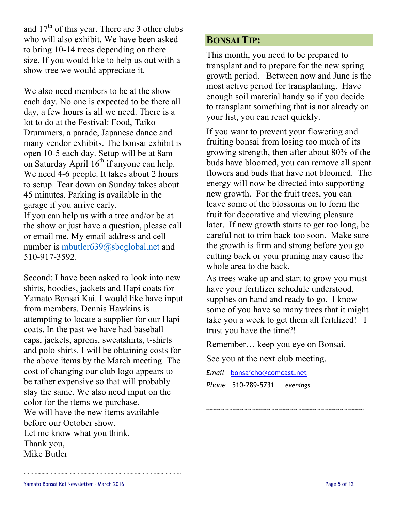and  $17<sup>th</sup>$  of this year. There are 3 other clubs who will also exhibit. We have been asked to bring 10-14 trees depending on there size. If you would like to help us out with a show tree we would appreciate it.

We also need members to be at the show each day. No one is expected to be there all day, a few hours is all we need. There is a lot to do at the Festival: Food, Taiko Drummers, a parade, Japanese dance and many vendor exhibits. The bonsai exhibit is open 10-5 each day. Setup will be at 8am on Saturday April  $16<sup>th</sup>$  if anyone can help. We need 4-6 people. It takes about 2 hours to setup. Tear down on Sunday takes about 45 minutes. Parking is available in the garage if you arrive early.

If you can help us with a tree and/or be at the show or just have a question, please call or email me. My email address and cell number is mbutler639@sbcglobal.net and 510-917-3592.

Second: I have been asked to look into new shirts, hoodies, jackets and Hapi coats for Yamato Bonsai Kai. I would like have input from members. Dennis Hawkins is attempting to locate a supplier for our Hapi coats. In the past we have had baseball caps, jackets, aprons, sweatshirts, t-shirts and polo shirts. I will be obtaining costs for the above items by the March meeting. The cost of changing our club logo appears to be rather expensive so that will probably stay the same. We also need input on the color for the items we purchase. We will have the new items available before our October show. Let me know what you think. Thank you, Mike Butler

~~~~~~~~~~~~~~~~~~~~~~~~~~~~~~~~~~~~~~~~~

### **BONSAI TIP:**

This month, you need to be prepared to transplant and to prepare for the new spring growth period. Between now and June is the most active period for transplanting. Have enough soil material handy so if you decide to transplant something that is not already on your list, you can react quickly.

If you want to prevent your flowering and fruiting bonsai from losing too much of its growing strength, then after about 80% of the buds have bloomed, you can remove all spent flowers and buds that have not bloomed. The energy will now be directed into supporting new growth. For the fruit trees, you can leave some of the blossoms on to form the fruit for decorative and viewing pleasure later. If new growth starts to get too long, be careful not to trim back too soon. Make sure the growth is firm and strong before you go cutting back or your pruning may cause the whole area to die back.

As trees wake up and start to grow you must have your fertilizer schedule understood, supplies on hand and ready to go. I know some of you have so many trees that it might take you a week to get them all fertilized! I trust you have the time?!

Remember… keep you eye on Bonsai.

~~~~~~~~~~~~~~~~~~~~~~~~~~~~~~~~~~~~~~~~~

See you at the next club meeting.

*Email* bonsaicho@comcast.net *Phone* 510-289-5731 *evenings*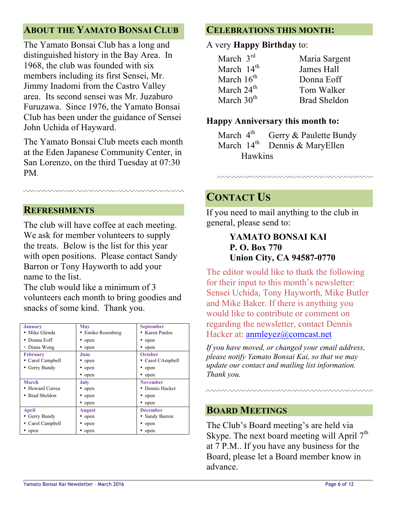### **ABOUT THE YAMATO BONSAI CLUB**

The Yamato Bonsai Club has a long and distinguished history in the Bay Area. In 1968, the club was founded with six members including its first Sensei, Mr. Jimmy Inadomi from the Castro Valley area. Its second sensei was Mr. Juzaburo Furuzawa. Since 1976, the Yamato Bonsai Club has been under the guidance of Sensei John Uchida of Hayward.

The Yamato Bonsai Club meets each month at the Eden Japanese Community Center, in San Lorenzo, on the third Tuesday at 07:30 PM.

### **REFRESHMENTS**

The club will have coffee at each meeting. We ask for member volunteers to supply the treats. Below is the list for this year with open positions. Please contact Sandy Barron or Tony Hayworth to add your name to the list.

The club would like a minimum of 3 volunteers each month to bring goodies and snacks of some kind. Thank you.

| <b>January</b>   | May               | <b>September</b> |
|------------------|-------------------|------------------|
| • Mike Glenda    | • Emiko Rosenberg | • Karen Paulos   |
| Donna Eoff       | • open            | • open           |
| • Diana Wong     | • open            | • open           |
| <b>February</b>  | June              | <b>October</b>   |
| • Carol Campbell | • open            | • Carol CAmpbell |
| • Gerry Bundy    | • open            | • open           |
|                  | • open            | • open           |
| March            | July              | <b>November</b>  |
| • Howard Correa  | • open            | • Dennis Hacker  |
| • Brad Sheldon   | • open            | • open           |
|                  | • open            | • open           |
| <b>April</b>     | <b>August</b>     | <b>December</b>  |
| • Gerry Bundy    | • open            | • Sandy Barron   |
| • Carol Campbell | • open            | • open           |
| open             | • open            | • open           |

### **CELEBRATIONS THIS MONTH:**

### A very **Happy Birthday** to:

| March $3rd$            | Maria Sargent       |
|------------------------|---------------------|
| March 14 <sup>th</sup> | James Hall          |
| March $16th$           | Donna Eoff          |
| March 24 <sup>th</sup> | Tom Walker          |
| March $30th$           | <b>Brad Sheldon</b> |

### **Happy Anniversary this month to:**

March  $4^{\text{th}}$  Gerry & Paulette Bundy March  $14<sup>th</sup>$  Dennis & MaryEllen Hawkins

### **CONTACT US**

If you need to mail anything to the club in general, please send to:

mmmmmmmm

**YAMATO BONSAI KAI P. O. Box 770 Union City, CA 94587-0770**

The editor would like to thatk the following for their input to this month's newsletter: Sensei Uchida, Tony Hayworth, Mike Butler and Mike Baker. If there is anything you would like to contribute or comment on regarding the newsletter, contact Dennis Hacker at: anmleyez@comcast.net

*If you have moved, or changed your email address, please notify Yamato Bonsai Kai, so that we may update our contact and mailing list information. Thank you.*

### **BOARD MEETINGS**

The Club's Board meeting's are held via Skype. The next board meeting will April  $7<sup>th</sup>$ at 7 P.M.. If you have any business for the Board, please let a Board member know in advance.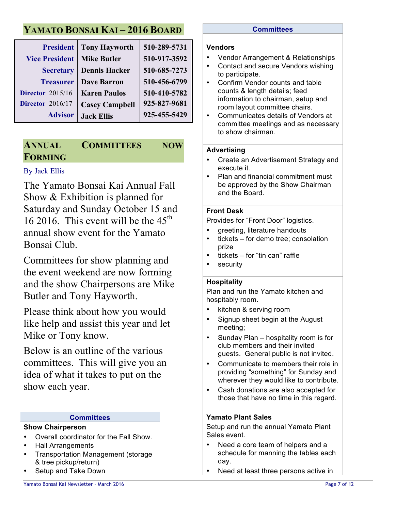## **YAMATO BONSAI KAI – 2016 BOARD**

| <b>President</b>        | <b>Tony Hayworth</b>  | 510-289-5731 |
|-------------------------|-----------------------|--------------|
| <b>Vice President</b>   | <b>Mike Butler</b>    | 510-917-3592 |
| <b>Secretary</b>        | <b>Dennis Hacker</b>  | 510-685-7273 |
| <b>Treasurer</b>        | <b>Dave Barron</b>    | 510-456-6799 |
| <b>Director</b> 2015/16 | <b>Karen Paulos</b>   | 510-410-5782 |
| <b>Director</b> 2016/17 | <b>Casey Campbell</b> | 925-827-9681 |
| <b>Advisor</b>          | <b>Jack Ellis</b>     | 925-455-5429 |

### **ANNUAL COMMITTEES NOW FORMING**

### By Jack Ellis

The Yamato Bonsai Kai Annual Fall Show & Exhibition is planned for Saturday and Sunday October 15 and 16 2016. This event will be the  $45<sup>th</sup>$ annual show event for the Yamato Bonsai Club.

Committees for show planning and the event weekend are now forming and the show Chairpersons are Mike Butler and Tony Hayworth.

Please think about how you would like help and assist this year and let Mike or Tony know.

Below is an outline of the various committees. This will give you an idea of what it takes to put on the show each year.

#### **Committees**

#### **Show Chairperson**

- Overall coordinator for the Fall Show.
- Hall Arrangements
- Transportation Management (storage & tree pickup/return)
- Setup and Take Down

#### **Committees**

#### **Vendors**

- Vendor Arrangement & Relationships
- Contact and secure Vendors wishing to participate.
- Confirm Vendor counts and table counts & length details; feed information to chairman, setup and room layout committee chairs.
- Communicates details of Vendors at committee meetings and as necessary to show chairman.

#### **Advertising**

- Create an Advertisement Strategy and execute it.
- Plan and financial commitment must be approved by the Show Chairman and the Board.

#### **Front Desk**

Provides for "Front Door" logistics.

- greeting, literature handouts
- tickets for demo tree; consolation prize
- tickets for "tin can" raffle
- security

#### **Hospitality**

Plan and run the Yamato kitchen and hospitably room.

- kitchen & serving room
- Signup sheet begin at the August meeting;
- Sunday Plan hospitality room is for club members and their invited guests. General public is not invited.
- Communicate to members their role in providing "something" for Sunday and wherever they would like to contribute.
- Cash donations are also accepted for those that have no time in this regard.

#### **Yamato Plant Sales**

Setup and run the annual Yamato Plant Sales event.

- Need a core team of helpers and a schedule for manning the tables each day.
- Need at least three persons active in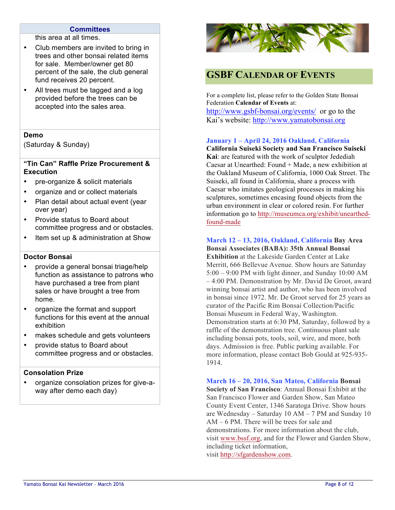#### **Committees**

this area at all times.

- Club members are invited to bring in trees and other bonsai related items for sale. Member/owner get 80 percent of the sale, the club general fund receives 20 percent.
- All trees must be tagged and a log provided before the trees can be accepted into the sales area.

#### **Demo**

(Saturday & Sunday)

#### **"Tin Can" Raffle Prize Procurement & Execution**

- pre-organize & solicit materials
- organize and or collect materials
- Plan detail about actual event (year over year)
- Provide status to Board about committee progress and or obstacles.
- Item set up & administration at Show

#### **Doctor Bonsai**

- provide a general bonsai triage/help function as assistance to patrons who have purchased a tree from plant sales or have brought a tree from home.
- organize the format and support functions for this event at the annual exhibition
- makes schedule and gets volunteers
- provide status to Board about committee progress and or obstacles.

#### **Consolation Prize**

• organize consolation prizes for give-away after demo each day)



### **GSBF CALENDAR OF EVENTS**

For a complete list, please refer to the Golden State Bonsai Federation **Calendar of Events** at: http://www.gsbf-bonsai.org/events/ or go to the Kai's website: http://www.yamatobonsai.org

#### **January 1 – April 24, 2016 Oakland, California**

**California Suiseki Society and San Francisco Suiseki Kai**: are featured with the work of sculptor Jedediah Caesar at Unearthed: Found + Made, a new exhibition at the Oakland Museum of California, 1000 Oak Street. The Suiseki, all found in California, share a process with Caesar who imitates geological processes in making his sculptures, sometimes encasing found objects from the urban environment in clear or colored resin. For further information go to http://museumca.org/exhibit/unearthedfound-made

#### **March 12 – 13, 2016, Oakland, California Bay Area**

**Bonsai Associates (BABA): 35th Annual Bonsai Exhibition** at the Lakeside Garden Center at Lake Merritt, 666 Bellevue Avenue. Show hours are Saturday 5:00 – 9:00 PM with light dinner, and Sunday 10:00 AM – 4:00 PM. Demonstration by Mr. David De Groot, award winning bonsai artist and author, who has been involved in bonsai since 1972. Mr. De Groot served for 25 years as curator of the Pacific Rim Bonsai Collection/Pacific Bonsai Museum in Federal Way, Washington. Demonstration starts at 6:30 PM, Saturday, followed by a raffle of the demonstration tree. Continuous plant sale including bonsai pots, tools, soil, wire, and more, both days. Admission is free. Public parking available. For more information, please contact Bob Gould at 925-935- 1914.

**March 16 – 20, 2016, San Mateo, California Bonsai Society of San Francisco**: Annual Bonsai Exhibit at the San Francisco Flower and Garden Show, San Mateo County Event Center, 1346 Saratoga Drive. Show hours are Wednesday – Saturday 10 AM – 7 PM and Sunday 10 AM – 6 PM. There will be trees for sale and demonstrations. For more information about the club, visit www.bssf.org, and for the Flower and Garden Show, including ticket information, visit http://sfgardenshow.com.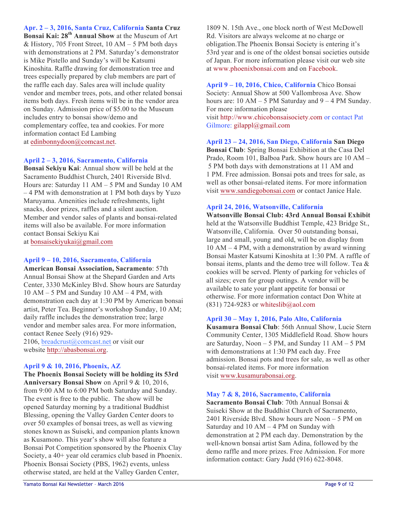**Apr. 2 – 3, 2016, Santa Cruz, California Santa Cruz Bonsai Kai: 28th Annual Show** at the Museum of Art & History, 705 Front Street, 10 AM – 5 PM both days with demonstrations at 2 PM. Saturday's demonstrator is Mike Pistello and Sunday's will be Katsumi Kinoshita. Raffle drawing for demonstration tree and trees especially prepared by club members are part of the raffle each day. Sales area will include quality vendor and member trees, pots, and other related bonsai items both days. Fresh items will be in the vendor area on Sunday. Admission price of \$5.00 to the Museum includes entry to bonsai show/demo and complementary coffee, tea and cookies. For more information contact Ed Lambing at edinbonnydoon@comcast.net.

#### **April 2 – 3, 2016, Sacramento, California**

**Bonsai Sekiyu Kai**: Annual show will be held at the Sacramento Buddhist Church, 2401 Riverside Blvd. Hours are: Saturday 11 AM – 5 PM and Sunday 10 AM – 4 PM with demonstration at 1 PM both days by Yuzo Maruyama. Amenities include refreshments, light snacks, door prizes, raffles and a silent auction. Member and vendor sales of plants and bonsai-related items will also be available. For more information contact Bonsai Sekiyu Kai at bonsaisekiyukai@gmail.com

#### **April 9 – 10, 2016, Sacramento, California**

**American Bonsai Association, Sacramento**: 57th Annual Bonsai Show at the Shepard Garden and Arts Center, 3330 McKinley Blvd. Show hours are Saturday  $10 AM - 5 PM$  and Sunday  $10 AM - 4 PM$ , with demonstration each day at 1:30 PM by American bonsai artist, Peter Tea. Beginner's workshop Sunday, 10 AM; daily raffle includes the demonstration tree; large vendor and member sales area. For more information, contact Renee Seely (916) 929- 2106, breadcrust@comcast.net or visit our website http://abasbonsai.org.

#### **April 9 & 10, 2016, Phoenix, AZ**

**The Phoenix Bonsai Society will be holding its 53rd Anniversary Bonsai Show** on April 9 & 10, 2016, from 9:00 AM to 6:00 PM both Saturday and Sunday. The event is free to the public. The show will be opened Saturday morning by a traditional Buddhist Blessing, opening the Valley Garden Center doors to over 50 examples of bonsai trees, as well as viewing stones known as Suiseki, and companion plants known as Kusamono. This year's show will also feature a Bonsai Pot Competition sponsored by the Phoenix Clay Society, a 40+ year old ceramics club based in Phoenix. Phoenix Bonsai Society (PBS, 1962) events, unless otherwise stated, are held at the Valley Garden Center,

1809 N. 15th Ave., one block north of West McDowell Rd. Visitors are always welcome at no charge or obligation.The Phoenix Bonsai Society is entering it's 53rd year and is one of the oldest bonsai societies outside of Japan. For more information please visit our web site at www.phoenixbonsai.com and on Facebook.

**April 9 – 10, 2016, Chico, California** Chico Bonsai Society: Annual Show at 500 Vallombrosa Ave. Show hours are:  $10 AM - 5 PM$  Saturday and  $9 - 4 PM$  Sunday. For more information please visit http://www.chicobonsaisociety.com or contact Pat Gilmore: gilappl@gmail.com

**April 23 – 24, 2016, San Diego, California San Diego Bonsai Club**: Spring Bonsai Exhibition at the Casa Del Prado, Room 101, Balboa Park. Show hours are 10 AM – 5 PM both days with demonstrations at 11 AM and 1 PM. Free admission. Bonsai pots and trees for sale, as well as other bonsai-related items. For more information visit www.sandiegobonsai.com or contact Janice Hale.

#### **April 24, 2016, Watsonville, California**

**Watsonville Bonsai Club: 43rd Annual Bonsai Exhibit** held at the Watsonville Buddhist Temple, 423 Bridge St., Watsonville, California. Over 50 outstanding bonsai, large and small, young and old, will be on display from 10 AM – 4 PM, with a demonstration by award winning Bonsai Master Katsumi Kinoshita at 1:30 PM. A raffle of bonsai items, plants and the demo tree will follow. Tea & cookies will be served. Plenty of parking for vehicles of all sizes; even for group outings. A vendor will be available to sate your plant appetite for bonsai or otherwise. For more information contact Don White at (831) 724-9283 or whiteslib@aol.com

#### **April 30 – May 1, 2016, Palo Alto, California**

**Kusamura Bonsai Club**: 56th Annual Show, Lucie Stern Community Center, 1305 Middlefield Road. Show hours are Saturday, Noon  $-5$  PM, and Sunday 11 AM  $-5$  PM with demonstrations at 1:30 PM each day. Free admission. Bonsai pots and trees for sale, as well as other bonsai-related items. For more information visit www.kusamurabonsai.org.

#### **May 7 & 8, 2016, Sacramento, California**

**Sacramento Bonsai Club**: 70th Annual Bonsai & Suiseki Show at the Buddhist Church of Sacramento, 2401 Riverside Blvd. Show hours are Noon – 5 PM on Saturday and 10 AM – 4 PM on Sunday with demonstration at 2 PM each day. Demonstration by the well-known bonsai artist Sam Adina, followed by the demo raffle and more prizes. Free Admission. For more information contact: Gary Judd (916) 622-8048.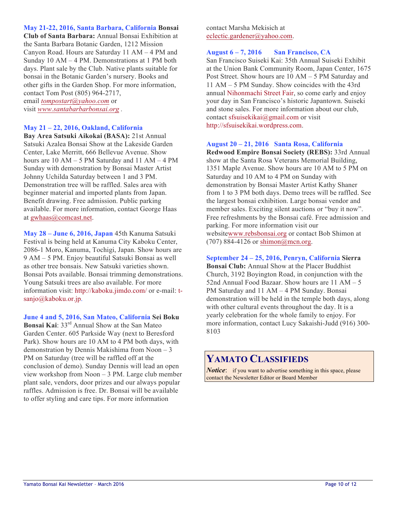**May 21-22, 2016, Santa Barbara, California Bonsai Club of Santa Barbara:** Annual Bonsai Exhibition at the Santa Barbara Botanic Garden, 1212 Mission Canyon Road. Hours are Saturday 11 AM – 4 PM and Sunday 10 AM – 4 PM. Demonstrations at 1 PM both days. Plant sale by the Club. Native plants suitable for bonsai in the Botanic Garden's nursery. Books and other gifts in the Garden Shop. For more information, contact Tom Post (805) 964-2717, email *tompostart@yahoo.com* or

visit *www.santabarbarbonsai.org .*

#### **May 21 – 22, 2016, Oakland, California**

**Bay Area Satsuki Aikokai (BASA):** 21st Annual Satsuki Azalea Bonsai Show at the Lakeside Garden Center, Lake Merritt, 666 Bellevue Avenue. Show hours are 10 AM – 5 PM Saturday and 11 AM – 4 PM Sunday with demonstration by Bonsai Master Artist Johnny Uchilda Saturday between 1 and 3 PM. Demonstration tree will be raffled. Sales area with beginner material and imported plants from Japan. Benefit drawing. Free admission. Public parking available. For more information, contact George Haas at gwhaas@comcast.net.

**May 28 – June 6, 2016, Japan** 45th Kanuma Satsuki Festival is being held at Kanuma City Kaboku Center, 2086-1 Moro, Kanuma, Tochigi, Japan. Show hours are 9 AM – 5 PM. Enjoy beautiful Satsuki Bonsai as well as other tree bonsais. New Satsuki varieties shown. Bonsai Pots available. Bonsai trimming demonstrations. Young Satsuki trees are also available. For more information visit: http://kaboku.jimdo.com/ or e-mail: tsanjo@kaboku.or.jp.

**June 4 and 5, 2016, San Mateo, California Sei Boku Bonsai Kai**: 33rd Annual Show at the San Mateo Garden Center. 605 Parkside Way (next to Beresford Park). Show hours are 10 AM to 4 PM both days, with demonstration by Dennis Makishima from Noon – 3 PM on Saturday (tree will be raffled off at the conclusion of demo). Sunday Dennis will lead an open view workshop from Noon – 3 PM. Large club member plant sale, vendors, door prizes and our always popular raffles. Admission is free. Dr. Bonsai will be available to offer styling and care tips. For more information

contact Marsha Mekisich at eclectic.gardener@yahoo.com.

#### **August 6 – 7, 2016 San Francisco, CA**

San Francisco Suiseki Kai: 35th Annual Suiseki Exhibit at the Union Bank Community Room, Japan Center, 1675 Post Street. Show hours are 10 AM – 5 PM Saturday and 11 AM – 5 PM Sunday. Show coincides with the 43rd annual Nihonmachi Street Fair, so come early and enjoy your day in San Francisco's historic Japantown. Suiseki and stone sales. For more information about our club, contact sfsuisekikai@gmail.com or visit http://sfsuisekikai.wordpress.com.

#### **August 20 – 21, 2016 Santa Rosa, California**

**Redwood Empire Bonsai Society (REBS):** 33rd Annual show at the Santa Rosa Veterans Memorial Building, 1351 Maple Avenue. Show hours are 10 AM to 5 PM on Saturday and 10 AM to 4 PM on Sunday with demonstration by Bonsai Master Artist Kathy Shaner from 1 to 3 PM both days. Demo trees will be raffled. See the largest bonsai exhibition. Large bonsai vendor and member sales. Exciting silent auctions or "buy it now". Free refreshments by the Bonsai café. Free admission and parking. For more information visit our websitewww.rebsbonsai.org or contact Bob Shimon at (707) 884-4126 or shimon@mcn.org.

#### **September 24 – 25, 2016, Penryn, California Sierra**

**Bonsai Club:** Annual Show at the Placer Buddhist Church, 3192 Boyington Road, in conjunction with the 52nd Annual Food Bazaar. Show hours are 11 AM – 5 PM Saturday and 11 AM – 4 PM Sunday. Bonsai demonstration will be held in the temple both days, along with other cultural events throughout the day. It is a yearly celebration for the whole family to enjoy. For more information, contact Lucy Sakaishi-Judd (916) 300- 8103

### **YAMATO CLASSIFIEDS**

*Notice*: if you want to advertise something in this space, please contact the Newsletter Editor or Board Member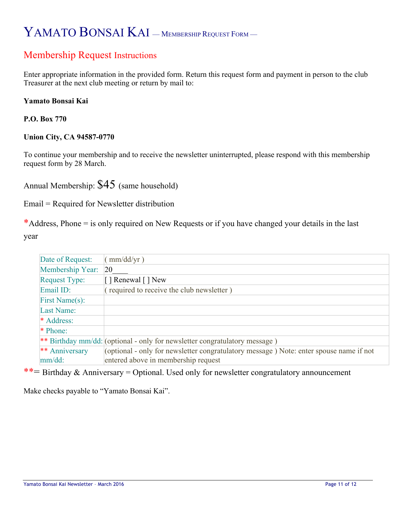# YAMATO BONSAI KAI – MEMBERSHIP REQUEST FORM –

### Membership Request Instructions

Enter appropriate information in the provided form. Return this request form and payment in person to the club Treasurer at the next club meeting or return by mail to:

#### **Yamato Bonsai Kai**

**P.O. Box 770** 

#### **Union City, CA 94587-0770**

To continue your membership and to receive the newsletter uninterrupted, please respond with this membership request form by 28 March.

Annual Membership: \$45 (same household)

Email = Required for Newsletter distribution

\*Address, Phone = is only required on New Requests or if you have changed your details in the last year

| Date of Request:     | (mm/dd/yr)                                                                             |
|----------------------|----------------------------------------------------------------------------------------|
| Membership Year:     | <b>20</b>                                                                              |
| <b>Request Type:</b> | [ ] Renewal [ ] New                                                                    |
| Email ID:            | (required to receive the club newsletter)                                              |
| First Name(s):       |                                                                                        |
| Last Name:           |                                                                                        |
| * Address:           |                                                                                        |
| * Phone:             |                                                                                        |
|                      | ** Birthday mm/dd: (optional - only for newsletter congratulatory message)             |
| ** Anniversary       | (optional - only for newsletter congratulatory message) Note: enter spouse name if not |
| mm/dd:               | entered above in membership request                                                    |

\*\*= Birthday & Anniversary = Optional. Used only for newsletter congratulatory announcement

Make checks payable to "Yamato Bonsai Kai".